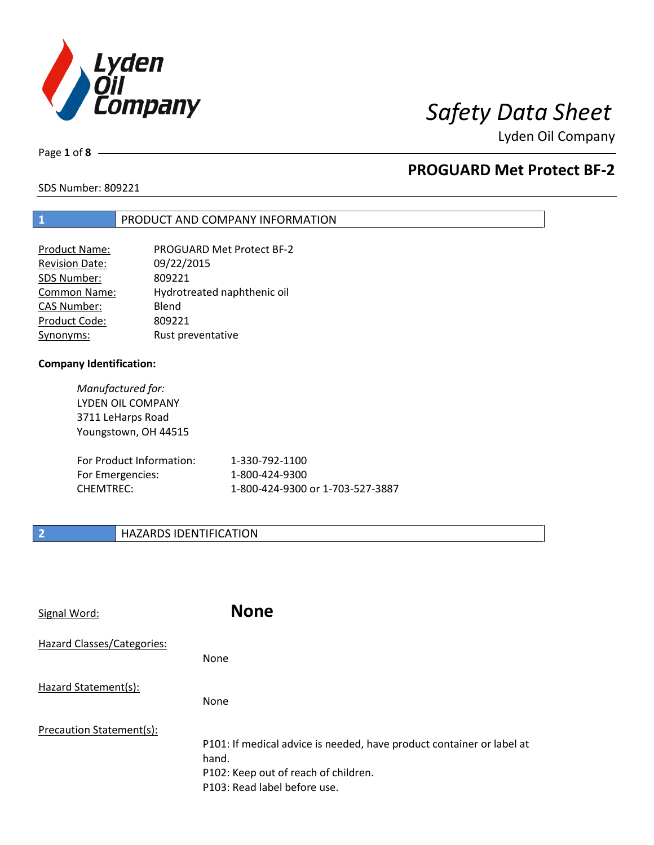

Page **1** of **8**

# **PROGUARD Met Protect BF-2**

SDS Number: 809221

## **1** PRODUCT AND COMPANY INFORMATION

| Product Name:         | <b>PROGUARD Met Protect BF-2</b> |
|-----------------------|----------------------------------|
| <b>Revision Date:</b> | 09/22/2015                       |
| SDS Number:           | 809221                           |
| Common Name:          | Hydrotreated naphthenic oil      |
| <b>CAS Number:</b>    | Blend                            |
| Product Code:         | 809221                           |
| Synonyms:             | Rust preventative                |

### **Company Identification:**

*Manufactured for:* LYDEN OIL COMPANY 3711 LeHarps Road Youngstown, OH 44515

| For Product Information: | 1-330-792-1100                   |
|--------------------------|----------------------------------|
| For Emergencies:         | 1-800-424-9300                   |
| CHEMTREC:                | 1-800-424-9300 or 1-703-527-3887 |

## **2 HAZARDS IDENTIFICATION**

| Signal Word:               | <b>None</b>                                                                                                                                            |
|----------------------------|--------------------------------------------------------------------------------------------------------------------------------------------------------|
| Hazard Classes/Categories: | None                                                                                                                                                   |
| Hazard Statement(s):       | <b>None</b>                                                                                                                                            |
| Precaution Statement(s):   | P101: If medical advice is needed, have product container or label at<br>hand.<br>P102: Keep out of reach of children.<br>P103: Read label before use. |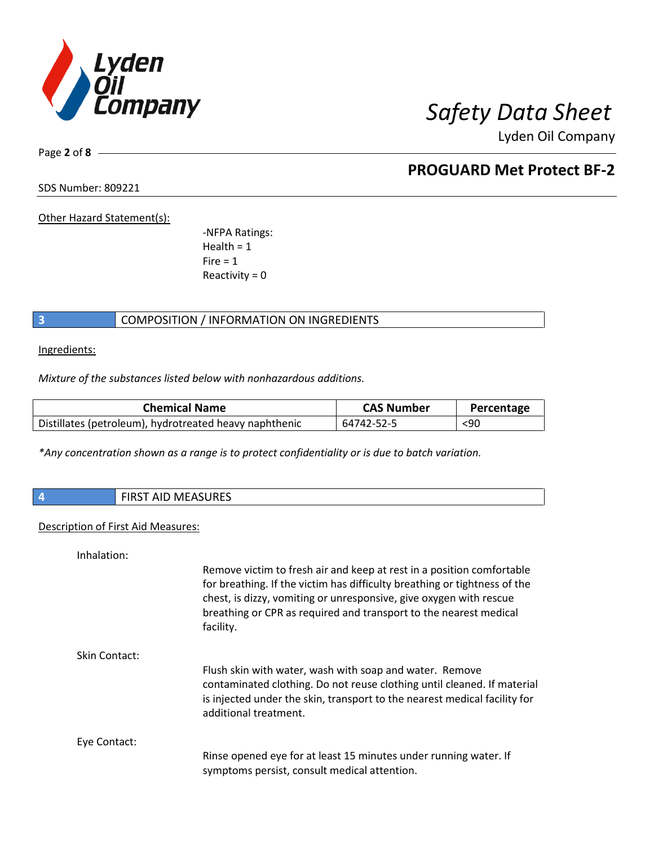

Page **2** of **8**

# **PROGUARD Met Protect BF-2**

SDS Number: 809221

Other Hazard Statement(s):

-NFPA Ratings:  $Health = 1$  $Fire = 1$ Reactivity  $= 0$ 

## **3** COMPOSITION / INFORMATION ON INGREDIENTS

Ingredients:

*Mixture of the substances listed below with nonhazardous additions.*

| <b>Chemical Name</b>                                   | <b>CAS Number</b> | Percentage |
|--------------------------------------------------------|-------------------|------------|
| Distillates (petroleum), hydrotreated heavy naphthenic | 64742-52-5        | $90$       |

*\*Any concentration shown as a range is to protect confidentiality or is due to batch variation.*

| 74 | $\blacksquare$<br>w<br>AID IVIEAJUNEJ |
|----|---------------------------------------|
|    |                                       |

### Description of First Aid Measures:

| Inhalation:   |                                                                                                                                                                                                                                                                                                            |
|---------------|------------------------------------------------------------------------------------------------------------------------------------------------------------------------------------------------------------------------------------------------------------------------------------------------------------|
|               | Remove victim to fresh air and keep at rest in a position comfortable<br>for breathing. If the victim has difficulty breathing or tightness of the<br>chest, is dizzy, vomiting or unresponsive, give oxygen with rescue<br>breathing or CPR as required and transport to the nearest medical<br>facility. |
| Skin Contact: |                                                                                                                                                                                                                                                                                                            |
|               | Flush skin with water, wash with soap and water. Remove<br>contaminated clothing. Do not reuse clothing until cleaned. If material<br>is injected under the skin, transport to the nearest medical facility for<br>additional treatment.                                                                   |
| Eye Contact:  |                                                                                                                                                                                                                                                                                                            |
|               | Rinse opened eye for at least 15 minutes under running water. If<br>symptoms persist, consult medical attention.                                                                                                                                                                                           |
|               |                                                                                                                                                                                                                                                                                                            |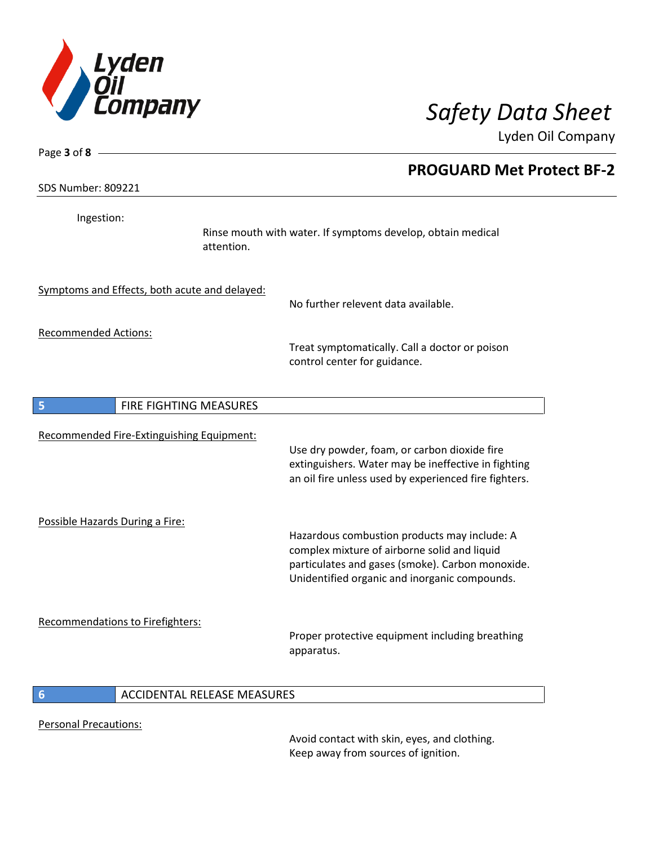

|                                               |            | <b>PROGUARD Met Protect BF-2</b>                                                                                                                                                                  |  |
|-----------------------------------------------|------------|---------------------------------------------------------------------------------------------------------------------------------------------------------------------------------------------------|--|
| SDS Number: 809221                            |            |                                                                                                                                                                                                   |  |
| Ingestion:                                    | attention. | Rinse mouth with water. If symptoms develop, obtain medical                                                                                                                                       |  |
| Symptoms and Effects, both acute and delayed: |            | No further relevent data available.                                                                                                                                                               |  |
| <b>Recommended Actions:</b>                   |            | Treat symptomatically. Call a doctor or poison<br>control center for guidance.                                                                                                                    |  |
| FIRE FIGHTING MEASURES<br>5                   |            |                                                                                                                                                                                                   |  |
| Recommended Fire-Extinguishing Equipment:     |            | Use dry powder, foam, or carbon dioxide fire<br>extinguishers. Water may be ineffective in fighting<br>an oil fire unless used by experienced fire fighters.                                      |  |
| Possible Hazards During a Fire:               |            | Hazardous combustion products may include: A<br>complex mixture of airborne solid and liquid<br>particulates and gases (smoke). Carbon monoxide.<br>Unidentified organic and inorganic compounds. |  |
| <b>Recommendations to Firefighters:</b>       |            | Proper protective equipment including breathing<br>apparatus.                                                                                                                                     |  |

Personal Precautions:

Avoid contact with skin, eyes, and clothing. Keep away from sources of ignition.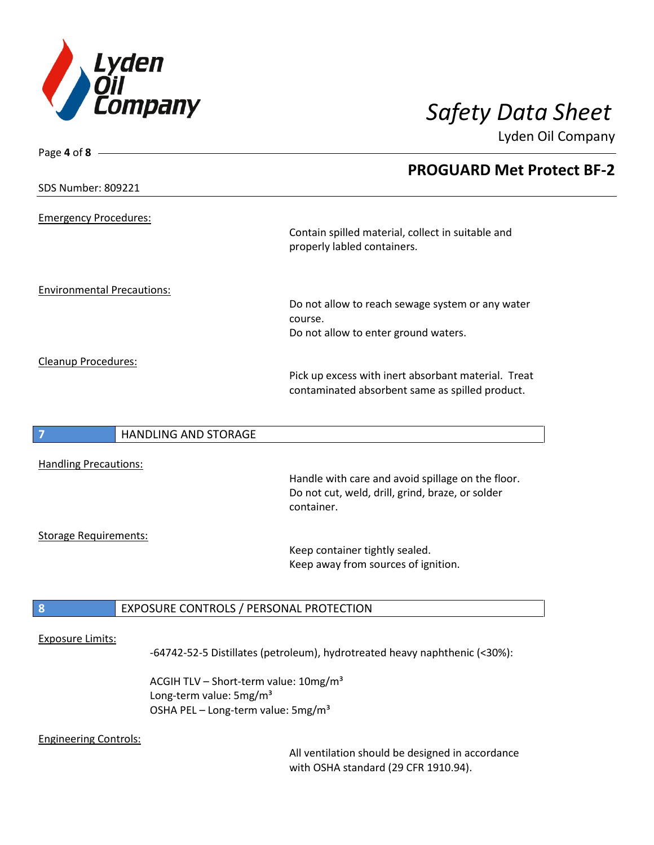

| Page 4 of 8 -                       | <b>PROGUARD Met Protect BF-2</b>                                                                                    |
|-------------------------------------|---------------------------------------------------------------------------------------------------------------------|
| <b>SDS Number: 809221</b>           |                                                                                                                     |
| <b>Emergency Procedures:</b>        | Contain spilled material, collect in suitable and<br>properly labled containers.                                    |
| <b>Environmental Precautions:</b>   | Do not allow to reach sewage system or any water<br>course.<br>Do not allow to enter ground waters.                 |
| Cleanup Procedures:                 | Pick up excess with inert absorbant material. Treat<br>contaminated absorbent same as spilled product.              |
| <b>HANDLING AND STORAGE</b>         |                                                                                                                     |
| <b>Handling Precautions:</b>        | Handle with care and avoid spillage on the floor.<br>Do not cut, weld, drill, grind, braze, or solder<br>container. |
| <b>Storage Requirements:</b>        | Keep container tightly sealed.<br>Keep away from sources of ignition.                                               |
| 8                                   | EXPOSURE CONTROLS / PERSONAL PROTECTION                                                                             |
| <b>Exposure Limits:</b>             | -64742-52-5 Distillates (petroleum), hydrotreated heavy naphthenic (<30%):                                          |
| Long-term value: 5mg/m <sup>3</sup> | ACGIH TLV - Short-term value: 10mg/m <sup>3</sup><br>OSHA PEL - Long-term value: 5mg/m <sup>3</sup>                 |

### Engineering Controls:

All ventilation should be designed in accordance with OSHA standard (29 CFR 1910.94).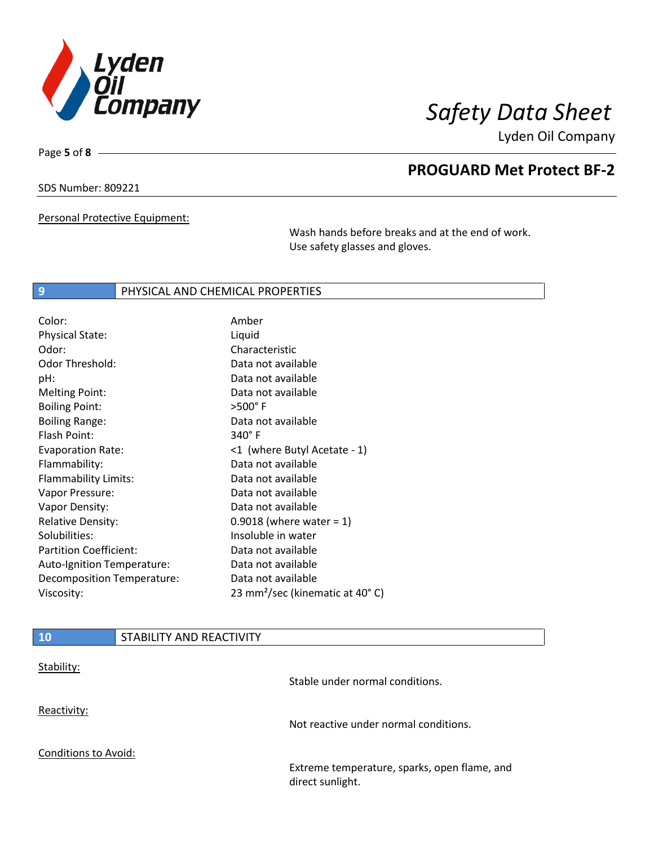

Page **5** of **8**

# **PROGUARD Met Protect BF-2**

SDS Number: 809221

Personal Protective Equipment:

Wash hands before breaks and at the end of work. Use safety glasses and gloves.

## **9 PHYSICAL AND CHEMICAL PROPERTIES**

| Color:                        | Amber                                       |
|-------------------------------|---------------------------------------------|
| <b>Physical State:</b>        | Liquid                                      |
| Odor:                         | Characteristic                              |
| Odor Threshold:               | Data not available                          |
| pH:                           | Data not available                          |
| <b>Melting Point:</b>         | Data not available                          |
| <b>Boiling Point:</b>         | $>500^\circ$ F                              |
| <b>Boiling Range:</b>         | Data not available                          |
| Flash Point:                  | 340°F                                       |
| <b>Evaporation Rate:</b>      | <1 (where Butyl Acetate - 1)                |
| Flammability:                 | Data not available                          |
| Flammability Limits:          | Data not available                          |
| Vapor Pressure:               | Data not available                          |
| Vapor Density:                | Data not available                          |
| <b>Relative Density:</b>      | 0.9018 (where water = $1$ )                 |
| Solubilities:                 | Insoluble in water                          |
| <b>Partition Coefficient:</b> | Data not available                          |
| Auto-Ignition Temperature:    | Data not available                          |
| Decomposition Temperature:    | Data not available                          |
| Viscosity:                    | 23 mm <sup>2</sup> /sec (kinematic at 40°C) |
|                               |                                             |

| <b>10</b>                   | STABILITY AND REACTIVITY |                                                                  |
|-----------------------------|--------------------------|------------------------------------------------------------------|
| Stability:                  |                          | Stable under normal conditions.                                  |
| Reactivity:                 |                          | Not reactive under normal conditions.                            |
| <b>Conditions to Avoid:</b> |                          |                                                                  |
|                             |                          | Extreme temperature, sparks, open flame, and<br>direct sunlight. |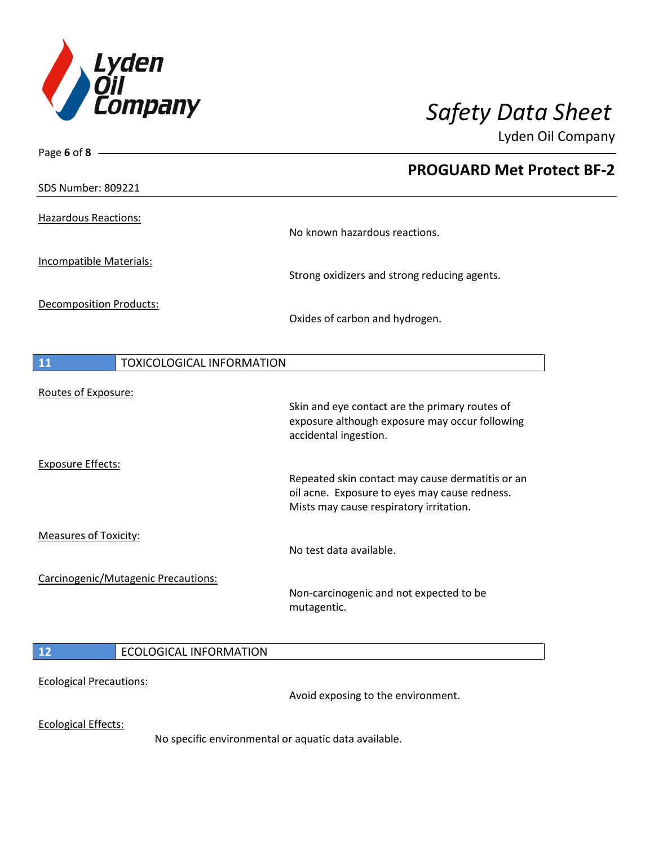

 $\overline{\phantom{a}}$ 

 $\overline{\phantom{a}}$ 

Lyden Oil Company

| Page 6 of 8 $-$                        |                                                                                          |
|----------------------------------------|------------------------------------------------------------------------------------------|
|                                        | <b>PROGUARD Met Protect BF-2</b>                                                         |
| <b>SDS Number: 809221</b>              |                                                                                          |
|                                        |                                                                                          |
| <b>Hazardous Reactions:</b>            | No known hazardous reactions.                                                            |
|                                        |                                                                                          |
| <b>Incompatible Materials:</b>         | Strong oxidizers and strong reducing agents.                                             |
|                                        |                                                                                          |
| <b>Decomposition Products:</b>         | Oxides of carbon and hydrogen.                                                           |
|                                        |                                                                                          |
| <b>TOXICOLOGICAL INFORMATION</b><br>11 |                                                                                          |
|                                        |                                                                                          |
| Routes of Exposure:                    |                                                                                          |
|                                        | Skin and eye contact are the primary routes of                                           |
|                                        | exposure although exposure may occur following<br>accidental ingestion.                  |
|                                        |                                                                                          |
| <b>Exposure Effects:</b>               |                                                                                          |
|                                        | Repeated skin contact may cause dermatitis or an                                         |
|                                        | oil acne. Exposure to eyes may cause redness.<br>Mists may cause respiratory irritation. |
|                                        |                                                                                          |
| <b>Measures of Toxicity:</b>           |                                                                                          |
|                                        | No test data available.                                                                  |
| Carcinogenic/Mutagenic Precautions:    |                                                                                          |
|                                        | Non-carcinogenic and not expected to be                                                  |
|                                        | mutagentic.                                                                              |
|                                        |                                                                                          |
| <b>ECOLOGICAL INFORMATION</b><br>12    |                                                                                          |
| <b>Ecological Precautions:</b>         |                                                                                          |
|                                        | Avoid exposing to the environment.                                                       |
| <b>Ecological Effects:</b>             |                                                                                          |

No specific environmental or aquatic data available.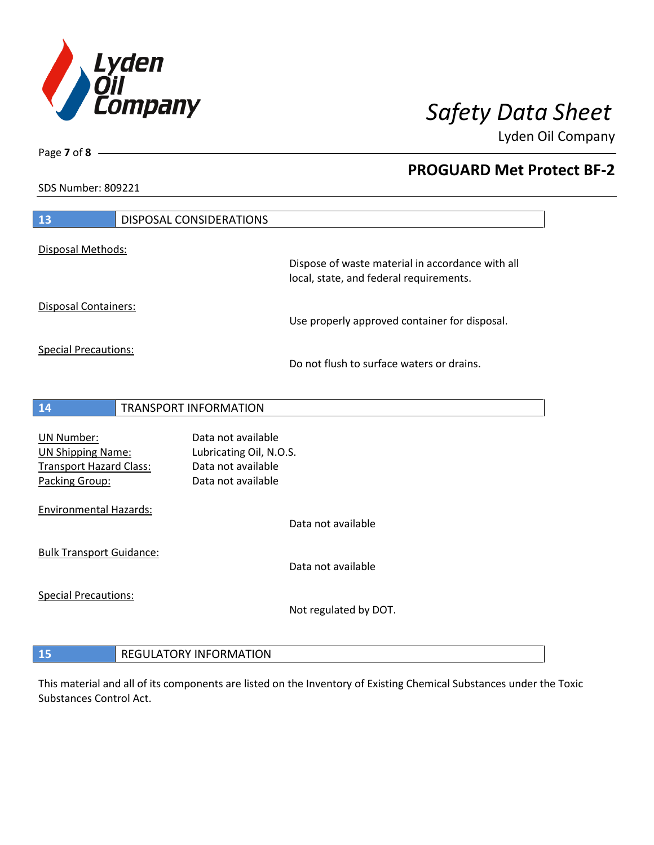

**PROGUARD Met Protect BF-2**

Lyden Oil Company

SDS Number: 809221

| 13                                                                                                |  | DISPOSAL CONSIDERATIONS                                                                   |                                                                                             |
|---------------------------------------------------------------------------------------------------|--|-------------------------------------------------------------------------------------------|---------------------------------------------------------------------------------------------|
| Disposal Methods:                                                                                 |  |                                                                                           |                                                                                             |
|                                                                                                   |  |                                                                                           | Dispose of waste material in accordance with all<br>local, state, and federal requirements. |
| <b>Disposal Containers:</b>                                                                       |  |                                                                                           | Use properly approved container for disposal.                                               |
| <b>Special Precautions:</b>                                                                       |  |                                                                                           | Do not flush to surface waters or drains.                                                   |
| 14                                                                                                |  | <b>TRANSPORT INFORMATION</b>                                                              |                                                                                             |
| <b>UN Number:</b><br><b>UN Shipping Name:</b><br><b>Transport Hazard Class:</b><br>Packing Group: |  | Data not available<br>Lubricating Oil, N.O.S.<br>Data not available<br>Data not available |                                                                                             |
| <b>Environmental Hazards:</b>                                                                     |  |                                                                                           | Data not available                                                                          |
| <b>Bulk Transport Guidance:</b>                                                                   |  |                                                                                           | Data not available                                                                          |
| <b>Special Precautions:</b>                                                                       |  |                                                                                           | Not regulated by DOT.                                                                       |
| <b>REGULATORY INFORMATION</b><br>15                                                               |  |                                                                                           |                                                                                             |

This material and all of its components are listed on the Inventory of Existing Chemical Substances under the Toxic Substances Control Act.